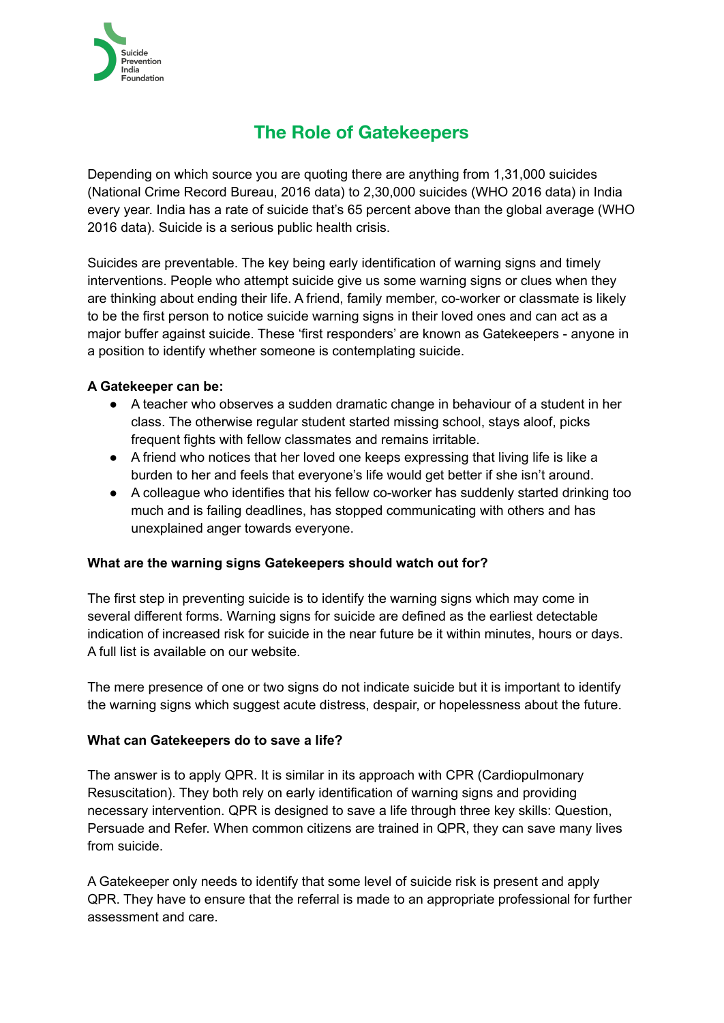

## **The Role of Gatekeepers**

Depending on which source you are quoting there are anything from 1,31,000 suicides (National Crime Record Bureau, 2016 data) to 2,30,000 suicides (WHO 2016 data) in India every year. India has a rate of suicide that's 65 percent above than the global average (WHO 2016 data). Suicide is a serious public health crisis.

Suicides are preventable. The key being early identification of warning signs and timely interventions. People who attempt suicide give us some warning signs or clues when they are thinking about ending their life. A friend, family member, co-worker or classmate is likely to be the first person to notice suicide warning signs in their loved ones and can act as a major buffer against suicide. These 'first responders' are known as Gatekeepers - anyone in a position to identify whether someone is contemplating suicide.

## **A Gatekeeper can be:**

- A teacher who observes a sudden dramatic change in behaviour of a student in her class. The otherwise regular student started missing school, stays aloof, picks frequent fights with fellow classmates and remains irritable.
- A friend who notices that her loved one keeps expressing that living life is like a burden to her and feels that everyone's life would get better if she isn't around.
- A colleague who identifies that his fellow co-worker has suddenly started drinking too much and is failing deadlines, has stopped communicating with others and has unexplained anger towards everyone.

## **What are the warning signs Gatekeepers should watch out for?**

The first step in preventing suicide is to identify the warning signs which may come in several different forms. Warning signs for suicide are defined as the earliest detectable indication of increased risk for suicide in the near future be it within minutes, hours or days. A full list is available on our website.

The mere presence of one or two signs do not indicate suicide but it is important to identify the warning signs which suggest acute distress, despair, or hopelessness about the future.

## **What can Gatekeepers do to save a life?**

The answer is to apply QPR. It is similar in its approach with CPR (Cardiopulmonary Resuscitation). They both rely on early identification of warning signs and providing necessary intervention. QPR is designed to save a life through three key skills: Question, Persuade and Refer. When common citizens are trained in QPR, they can save many lives from suicide.

A Gatekeeper only needs to identify that some level of suicide risk is present and apply QPR. They have to ensure that the referral is made to an appropriate professional for further assessment and care.